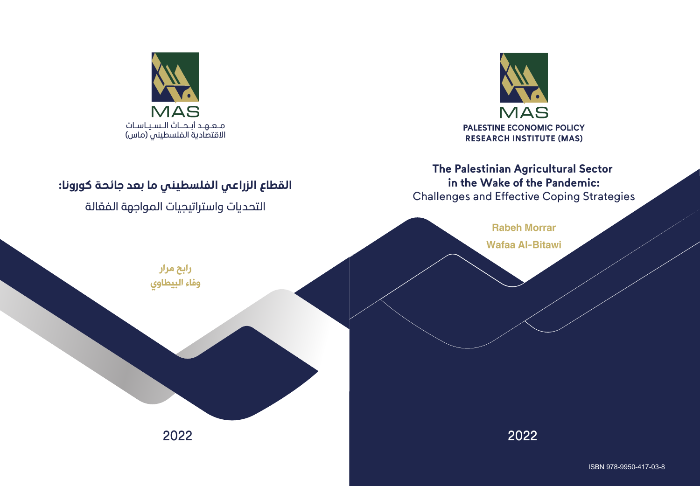

# **The Palestinian Agricultural Sector in the Wake of the Pandemic:**

Challenges and Effective Coping Strategies



2022 2022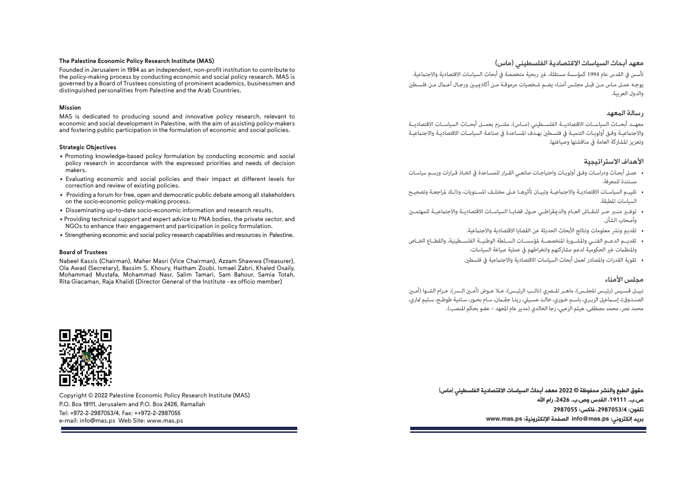#### **The Palestine Economic Policy Research Institute (MAS)**

Founded in Jerusalem in 1994 as an independent, non-profit institution to contribute to the policy-making process by conducting economic and social policy research. MAS is governed by a Board of Trustees consisting of prominent academics, businessmen and distinguished personalities from Palestine and the Arab Countries.

#### **Mission**

MAS is dedicated to producing sound and innovative policy research, relevant to economic and social development in Palestine, with the aim of assisting policy-makers and fostering public participation in the formulation of economic and social policies.

#### **Strategic Objectives**

- Promoting knowledge-based policy formulation by conducting economic and social policy research in accordance with the expressed priorities and needs of decision makers.
- Evaluating economic and social policies and their impact at different levels for correction and review of existing policies.
- Providing a forum for free, open and democratic public debate among all stakeholders on the socio-economic policy-making process.
- Disseminating up-to-date socio-economic information and research results.
- Providing technical support and expert advice to PNA bodies, the private sector, and NGOs to enhance their engagement and participation in policy formulation.
- Strengthening economic and social policy research capabilities and resources in Palestine.

#### **Board of Trustees**

Nabeel Kassis (Chairman), Maher Masri (Vice Chairman), Azzam Shawwa (Treasurer), Ola Awad (Secretary), Bassim S. Khoury, Haitham Zoubi, Ismael Zabri, Khaled Osaily, Mohammad Mustafa, Mohammad Nasr, Salim Tamari, Sam Bahour, Samia Totah, Rita Giacaman, Raja Khalidi (Director General of the Institute - ex officio member)



Copyright © 2022 Palestine Economic Policy Research Institute (MAS) P.O. Box 19111, Jerusalem and P.O. Box 2426, Ramallah Tel: +972-2-2987053/4, Fax: ++972-2-2987055 e-mail: info@mas.ps Web Site: www.mas.ps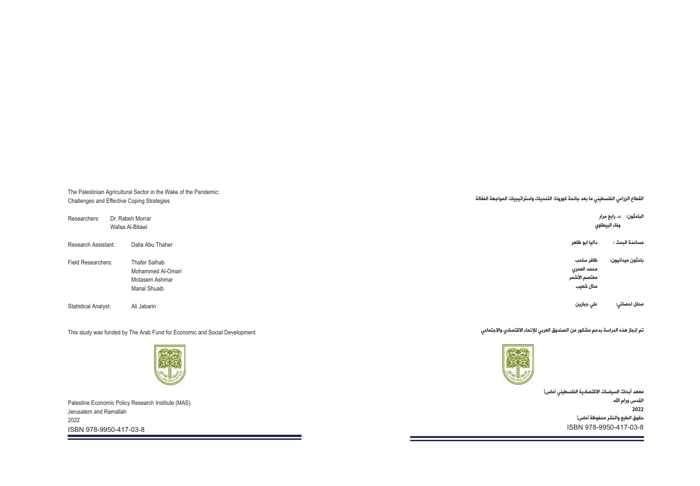The Palestinian Agricultural Sector in the Wake of the Pandemic: Challenges and Effective Coping Strategies

| Researchers:         | Wafaa Al-Bitawi | Dr. Rabeh Morrar                                                            |
|----------------------|-----------------|-----------------------------------------------------------------------------|
| Research Assistant:  |                 | Dalia Abu Thaher                                                            |
| Field Researchers:   |                 | <b>Thafer Salhab</b><br>Mohammed Al-Omari<br>Motasem Ashmar<br>Manal Shuaib |
| Statistical Analyst: |                 | Ali Jabarin                                                                 |

This study was funded by The Arab Fund for Economic and Social Development



Palestine Economic Policy Research Institute (MAS) Jerusalem and Ramallah 2022 ISBN 978-9950-417-03-8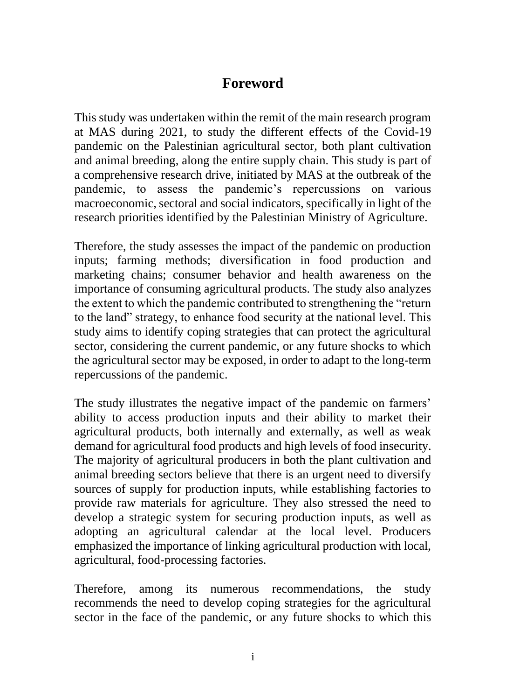## **Foreword**

This study was undertaken within the remit of the main research program at MAS during 2021, to study the different effects of the Covid-19 pandemic on the Palestinian agricultural sector, both plant cultivation and animal breeding, along the entire supply chain. This study is part of a comprehensive research drive, initiated by MAS at the outbreak of the pandemic, to assess the pandemic's repercussions on various macroeconomic, sectoral and social indicators, specifically in light of the research priorities identified by the Palestinian Ministry of Agriculture.

Therefore, the study assesses the impact of the pandemic on production inputs; farming methods; diversification in food production and marketing chains; consumer behavior and health awareness on the importance of consuming agricultural products. The study also analyzes the extent to which the pandemic contributed to strengthening the "return to the land" strategy, to enhance food security at the national level. This study aims to identify coping strategies that can protect the agricultural sector, considering the current pandemic, or any future shocks to which the agricultural sector may be exposed, in order to adapt to the long-term repercussions of the pandemic.

The study illustrates the negative impact of the pandemic on farmers' ability to access production inputs and their ability to market their agricultural products, both internally and externally, as well as weak demand for agricultural food products and high levels of food insecurity. The majority of agricultural producers in both the plant cultivation and animal breeding sectors believe that there is an urgent need to diversify sources of supply for production inputs, while establishing factories to provide raw materials for agriculture. They also stressed the need to develop a strategic system for securing production inputs, as well as adopting an agricultural calendar at the local level. Producers emphasized the importance of linking agricultural production with local, agricultural, food-processing factories.

Therefore, among its numerous recommendations, the study recommends the need to develop coping strategies for the agricultural sector in the face of the pandemic, or any future shocks to which this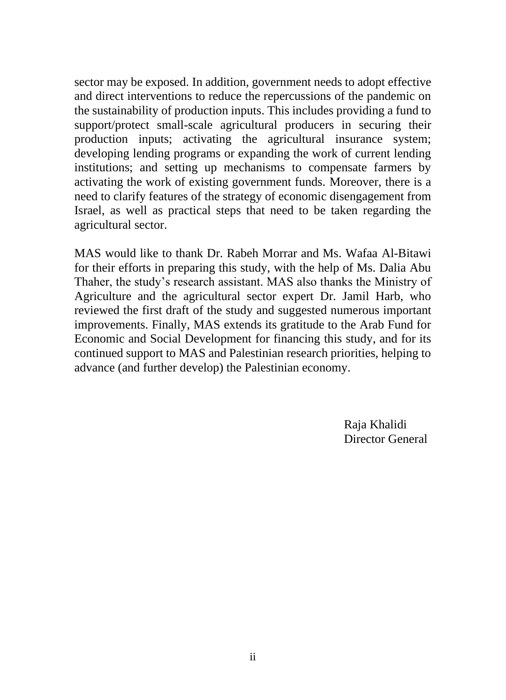sector may be exposed. In addition, government needs to adopt effective and direct interventions to reduce the repercussions of the pandemic on the sustainability of production inputs. This includes providing a fund to support/protect small-scale agricultural producers in securing their production inputs; activating the agricultural insurance system; developing lending programs or expanding the work of current lending institutions; and setting up mechanisms to compensate farmers by activating the work of existing government funds. Moreover, there is a need to clarify features of the strategy of economic disengagement from Israel, as well as practical steps that need to be taken regarding the agricultural sector.

MAS would like to thank Dr. Rabeh Morrar and Ms. Wafaa Al-Bitawi for their efforts in preparing this study, with the help of Ms. Dalia Abu Thaher, the study's research assistant. MAS also thanks the Ministry of Agriculture and the agricultural sector expert Dr. Jamil Harb, who reviewed the first draft of the study and suggested numerous important improvements. Finally, MAS extends its gratitude to the Arab Fund for Economic and Social Development for financing this study, and for its continued support to MAS and Palestinian research priorities, helping to advance (and further develop) the Palestinian economy.

> Raja Khalidi Director General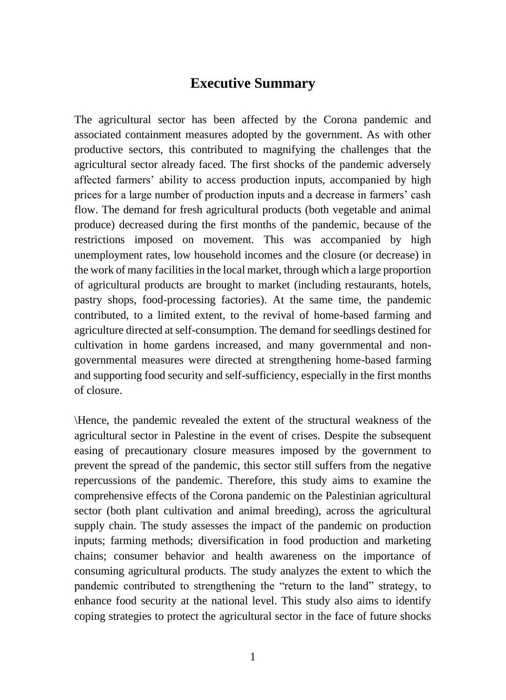### **Executive Summary**

The agricultural sector has been affected by the Corona pandemic and associated containment measures adopted by the government. As with other productive sectors, this contributed to magnifying the challenges that the agricultural sector already faced. The first shocks of the pandemic adversely affected farmers' ability to access production inputs, accompanied by high prices for a large number of production inputs and a decrease in farmers' cash flow. The demand for fresh agricultural products (both vegetable and animal produce) decreased during the first months of the pandemic, because of the restrictions imposed on movement. This was accompanied by high unemployment rates, low household incomes and the closure (or decrease) in the work of many facilities in the local market, through which a large proportion of agricultural products are brought to market (including restaurants, hotels, pastry shops, food-processing factories). At the same time, the pandemic contributed, to a limited extent, to the revival of home-based farming and agriculture directed at self-consumption. The demand for seedlings destined for cultivation in home gardens increased, and many governmental and nongovernmental measures were directed at strengthening home-based farming and supporting food security and self-sufficiency, especially in the first months of closure.

\Hence, the pandemic revealed the extent of the structural weakness of the agricultural sector in Palestine in the event of crises. Despite the subsequent easing of precautionary closure measures imposed by the government to prevent the spread of the pandemic, this sector still suffers from the negative repercussions of the pandemic. Therefore, this study aims to examine the comprehensive effects of the Corona pandemic on the Palestinian agricultural sector (both plant cultivation and animal breeding), across the agricultural supply chain. The study assesses the impact of the pandemic on production inputs; farming methods; diversification in food production and marketing chains; consumer behavior and health awareness on the importance of consuming agricultural products. The study analyzes the extent to which the pandemic contributed to strengthening the "return to the land" strategy, to enhance food security at the national level. This study also aims to identify coping strategies to protect the agricultural sector in the face of future shocks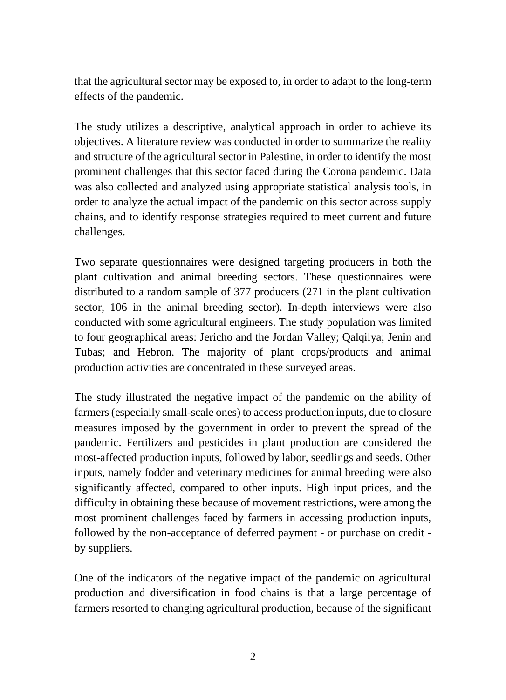that the agricultural sector may be exposed to, in order to adapt to the long-term effects of the pandemic.

The study utilizes a descriptive, analytical approach in order to achieve its objectives. A literature review was conducted in order to summarize the reality and structure of the agricultural sector in Palestine, in order to identify the most prominent challenges that this sector faced during the Corona pandemic. Data was also collected and analyzed using appropriate statistical analysis tools, in order to analyze the actual impact of the pandemic on this sector across supply chains, and to identify response strategies required to meet current and future challenges.

Two separate questionnaires were designed targeting producers in both the plant cultivation and animal breeding sectors. These questionnaires were distributed to a random sample of 377 producers (271 in the plant cultivation sector, 106 in the animal breeding sector). In-depth interviews were also conducted with some agricultural engineers. The study population was limited to four geographical areas: Jericho and the Jordan Valley; Qalqilya; Jenin and Tubas; and Hebron. The majority of plant crops/products and animal production activities are concentrated in these surveyed areas.

The study illustrated the negative impact of the pandemic on the ability of farmers (especially small-scale ones) to access production inputs, due to closure measures imposed by the government in order to prevent the spread of the pandemic. Fertilizers and pesticides in plant production are considered the most-affected production inputs, followed by labor, seedlings and seeds. Other inputs, namely fodder and veterinary medicines for animal breeding were also significantly affected, compared to other inputs. High input prices, and the difficulty in obtaining these because of movement restrictions, were among the most prominent challenges faced by farmers in accessing production inputs, followed by the non-acceptance of deferred payment - or purchase on credit by suppliers.

One of the indicators of the negative impact of the pandemic on agricultural production and diversification in food chains is that a large percentage of farmers resorted to changing agricultural production, because of the significant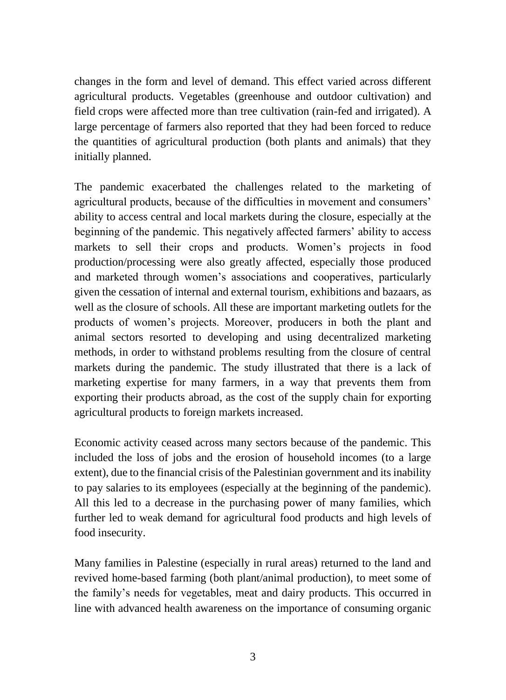changes in the form and level of demand. This effect varied across different agricultural products. Vegetables (greenhouse and outdoor cultivation) and field crops were affected more than tree cultivation (rain-fed and irrigated). A large percentage of farmers also reported that they had been forced to reduce the quantities of agricultural production (both plants and animals) that they initially planned.

The pandemic exacerbated the challenges related to the marketing of agricultural products, because of the difficulties in movement and consumers' ability to access central and local markets during the closure, especially at the beginning of the pandemic. This negatively affected farmers' ability to access markets to sell their crops and products. Women's projects in food production/processing were also greatly affected, especially those produced and marketed through women's associations and cooperatives, particularly given the cessation of internal and external tourism, exhibitions and bazaars, as well as the closure of schools. All these are important marketing outlets for the products of women's projects. Moreover, producers in both the plant and animal sectors resorted to developing and using decentralized marketing methods, in order to withstand problems resulting from the closure of central markets during the pandemic. The study illustrated that there is a lack of marketing expertise for many farmers, in a way that prevents them from exporting their products abroad, as the cost of the supply chain for exporting agricultural products to foreign markets increased.

Economic activity ceased across many sectors because of the pandemic. This included the loss of jobs and the erosion of household incomes (to a large extent), due to the financial crisis of the Palestinian government and its inability to pay salaries to its employees (especially at the beginning of the pandemic). All this led to a decrease in the purchasing power of many families, which further led to weak demand for agricultural food products and high levels of food insecurity.

Many families in Palestine (especially in rural areas) returned to the land and revived home-based farming (both plant/animal production), to meet some of the family's needs for vegetables, meat and dairy products. This occurred in line with advanced health awareness on the importance of consuming organic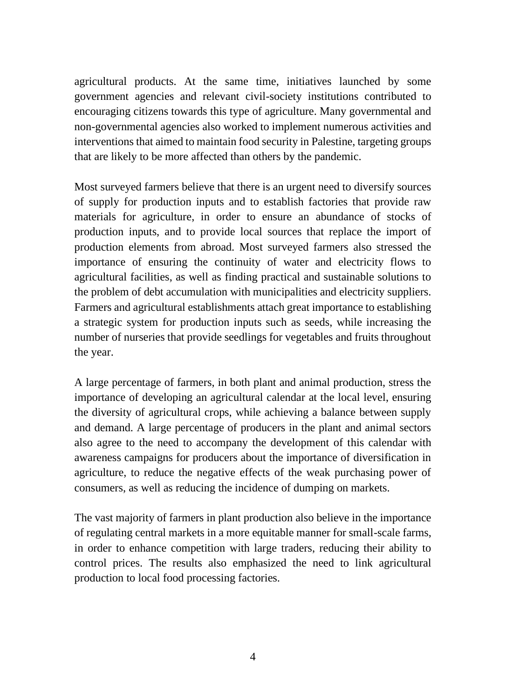agricultural products. At the same time, initiatives launched by some government agencies and relevant civil-society institutions contributed to encouraging citizens towards this type of agriculture. Many governmental and non-governmental agencies also worked to implement numerous activities and interventions that aimed to maintain food security in Palestine, targeting groups that are likely to be more affected than others by the pandemic.

Most surveyed farmers believe that there is an urgent need to diversify sources of supply for production inputs and to establish factories that provide raw materials for agriculture, in order to ensure an abundance of stocks of production inputs, and to provide local sources that replace the import of production elements from abroad. Most surveyed farmers also stressed the importance of ensuring the continuity of water and electricity flows to agricultural facilities, as well as finding practical and sustainable solutions to the problem of debt accumulation with municipalities and electricity suppliers. Farmers and agricultural establishments attach great importance to establishing a strategic system for production inputs such as seeds, while increasing the number of nurseries that provide seedlings for vegetables and fruits throughout the year.

A large percentage of farmers, in both plant and animal production, stress the importance of developing an agricultural calendar at the local level, ensuring the diversity of agricultural crops, while achieving a balance between supply and demand. A large percentage of producers in the plant and animal sectors also agree to the need to accompany the development of this calendar with awareness campaigns for producers about the importance of diversification in agriculture, to reduce the negative effects of the weak purchasing power of consumers, as well as reducing the incidence of dumping on markets.

The vast majority of farmers in plant production also believe in the importance of regulating central markets in a more equitable manner for small-scale farms, in order to enhance competition with large traders, reducing their ability to control prices. The results also emphasized the need to link agricultural production to local food processing factories.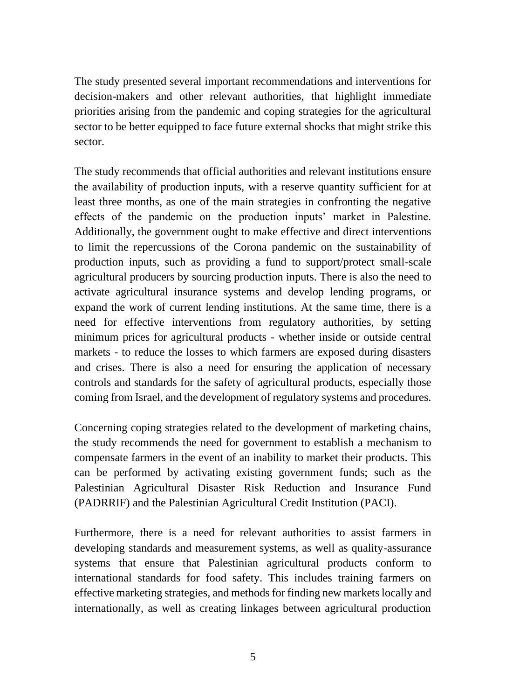The study presented several important recommendations and interventions for decision-makers and other relevant authorities, that highlight immediate priorities arising from the pandemic and coping strategies for the agricultural sector to be better equipped to face future external shocks that might strike this sector.

The study recommends that official authorities and relevant institutions ensure the availability of production inputs, with a reserve quantity sufficient for at least three months, as one of the main strategies in confronting the negative effects of the pandemic on the production inputs' market in Palestine. Additionally, the government ought to make effective and direct interventions to limit the repercussions of the Corona pandemic on the sustainability of production inputs, such as providing a fund to support/protect small-scale agricultural producers by sourcing production inputs. There is also the need to activate agricultural insurance systems and develop lending programs, or expand the work of current lending institutions. At the same time, there is a need for effective interventions from regulatory authorities, by setting minimum prices for agricultural products - whether inside or outside central markets - to reduce the losses to which farmers are exposed during disasters and crises. There is also a need for ensuring the application of necessary controls and standards for the safety of agricultural products, especially those coming from Israel, and the development of regulatory systems and procedures.

Concerning coping strategies related to the development of marketing chains, the study recommends the need for government to establish a mechanism to compensate farmers in the event of an inability to market their products. This can be performed by activating existing government funds; such as the Palestinian Agricultural Disaster Risk Reduction and Insurance Fund (PADRRIF) and the Palestinian Agricultural Credit Institution (PACI).

Furthermore, there is a need for relevant authorities to assist farmers in developing standards and measurement systems, as well as quality-assurance systems that ensure that Palestinian agricultural products conform to international standards for food safety. This includes training farmers on effective marketing strategies, and methods for finding new markets locally and internationally, as well as creating linkages between agricultural production